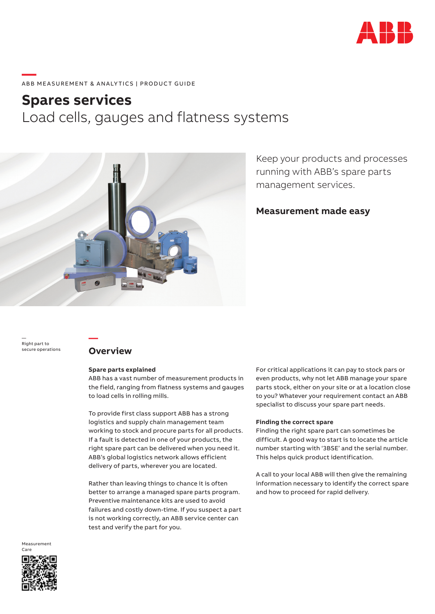

# **—**  ABB MEASUREMENT & ANALYTICS | PRODUCT GUIDE

## **Spares services** Load cells, gauges and flatness systems



Keep your products and processes running with ABB's spare parts management services.

## **Measurement made easy**

— Right part to secure operations

## **Overview**

**—**

### **Spare parts explained**

ABB has a vast number of measurement products in the field, ranging from flatness systems and gauges to load cells in rolling mills.

To provide first class support ABB has a strong logistics and supply chain management team working to stock and procure parts for all products. If a fault is detected in one of your products, the right spare part can be delivered when you need it. ABB's global logistics network allows efficient delivery of parts, wherever you are located.

Rather than leaving things to chance it is often better to arrange a managed spare parts program. Preventive maintenance kits are used to avoid failures and costly down-time. If you suspect a part is not working correctly, an ABB service center can test and verify the part for you.

For critical applications it can pay to stock pars or even products, why not let ABB manage your spare parts stock, either on your site or at a location close to you? Whatever your requirement contact an ABB specialist to discuss your spare part needs.

## **Finding the correct spare**

Finding the right spare part can sometimes be difficult. A good way to start is to locate the article number starting with '3BSE' and the serial number. This helps quick product identification.

A call to your local ABB will then give the remaining information necessary to identify the correct spare and how to proceed for rapid delivery.

Measurement Care